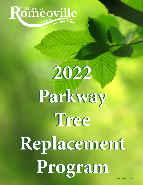# Romeoville Where Community Matters

# **2022 2022 Parkway Parkway Tree Tree Replacement Replacement Program Program** *Updated 4/18/2022*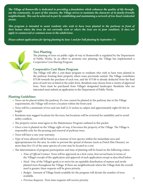*The Village of Romeoville is dedicated to providing a foundation which enhances the quality of life throughout the community. As part of this mission, the Village strives to maintain the character of its family-friendly neighborhoods. This can be achieved in part by establishing and maintaining a network of tree-lined residential streets.*

*This program is intended to assist residents who wish to have trees planted in the parkway in front of their homes where the trees do not currently exist or where the trees are in poor condition. It does not apply to commercial or common areas in the subdivision.* 

*Please submit applications for Spring planting by June 1 and for Fall planting by September 15.*



#### **Tree Planting**

The planting of trees on public right-of-way in Romeoville is regulated by the Department of Public Works. In an effort to promote tree planting, the Village has implemented a Cooperative Cost Sharing Program.

#### **Cooperative Cost Share Program**

The Village will offer a cost-share program to residents who wish to have trees planted in the parkway fronting their property where none previously existed. The Village contributes \$75.00 towards the purchase of each tree, and the \$75.00 is already deducted from the final price of each tree as listed in the order form. Residents may choose from a variety of approved trees. Trees must be purchased from Village's designated landscaper. Residents who are interested must submit an application to the Department of Public Works.

#### **Planting Guidelines**

- Trees can be placed within the parkway. If a tree cannot be planted in the parkway due to the Village requirements, the Village will review a location within the front yard.
- Trees will be a minimum of two and one-half (2.5) inches in caliper and approximately eight (8) feet in height.
- Residents may suggest locations for the trees, but locations will be reviewed for suitability and to avoid utility conflicts.
- The property owner must agree to the Maintenance Program outlined in this packet.
- Once a tree is planted on the Village right-of-way, it becomes the property of the Village. The Village is responsible only for the pruning and removal of parkway trees.
- Trees will have a one-year warranty.
- Type of trees allowed will be based on a mixture of tree species within the immediate area and appropriateness for the area. In order to prevent the spread of disease (such as Dutch Elm Disease), no more than five (5) of the same species of a tree may be located in a row.
- The determination of program participation and time of planting will be based on the following critera:
	- *Time of Official Contact:* Trees will be approved on a first come, first served basis in terms of the Village's receipt of the application and approval of such application except as described below.
	- *Need:* One of the Village's goals is to strive for an equitable distribution of mature and newly planted trees throughout the Village. If there are neighborhoods where the Village feels the overall need is greater, these requests will be given priority.
	- *Budget:* Amount of Village funds available for the program will dictate the number of trees available.
	- *Previous Requests:* First-time requests will receive priority.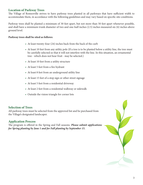#### **Location of Parkway Trees**

The Village of Romeoville strives to have parkway trees planted in all parkways that have sufficient width to accommodate them, in accordance with the following guidelines and may vary based on specific site conditions.

Parkway trees shall be planted a minimum of 30 feet apart, but not more than 50 feet apart whenever possible, and shall have a minimum trunk diameter of two and one-half inches (2.5) inches measured six (6) inches above ground level.

#### **Parkway trees shall be sited as follows:**

- At least twenty-four (24) inches back from the back of the curb
- At least 10 feet from any utility pole (If a tree is to be planted below a utility line, the tree must be carefully selected so that it will not interfere with the line. In this situation, an ornamental tree - which does not bear fruit - may be selected.)
- At least 10 feet from a utility structure
- At least 5 feet from a fire hydrant
- At least 8 feet from an underground utility line
- At least 15 feet of a stop sign or other street signage
- At least 5 feet from a residential driveway
- At least 2 feet from a residential walkway or sidewalk
- Outside the vision triangle for corner lots

#### **Selection of Trees**

All parkway trees must be selected from the approved list and be purchased from the Village's designated landscaper.

#### **Application Process**

The program is offered in the Spring and Fall seasons. *Please submit applications for Spring planting by June 1 and for Fall planting by September 15.*

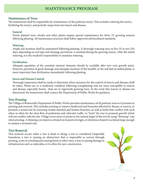### **MAINTENANCE PROGRAM**

#### **Maintenance of Trees**

The homeowner shall be responsible for maintenance of the parkway tree(s). This includes watering the tree(s), fertilizing the tree(s), and periodic inspections for insects and disease.

#### **General**

Newly planted trees, shrubs and other plants require special maintenance for three (3) growing seasons following planting. All maintenance practices shall follow approved arboricultural standards.

#### **Watering**

Ample soil moisture shall be maintained following planting. A thorough watering once in five (5) to ten (10) days, depending on soil type and drainage provisions, is essential during the growing season. After the initial watering, it is the resident's responsibility to maintain watering.

#### **Fertilization**

Adequate quantities of the essential nutrient elements should be available after new root growth starts. However, provision of good drainage and adequate moisture of the backfill, or the soil ball on balled plants, is more important than fertilization immediately following planting.

#### **Insect and Disease Control**

Thorough inspections shall be made to determine when measures for the control of insects and diseases shall be taken. Plants are in a weakened condition following transplanting and are more susceptible to insects and disease, especially borers, than are in vigorously growing trees. In the event that insects or disease are discovered, the homeowner shall contact the Department of Public Works for guidance.

#### **Tree Pruning**

The Village of Romeoville Department of Public Works provides maintenance of all parkway trees as it pertains to pruning and removal. This includes pruning to remove deadwood and branches affected by disease or insects, to promote a sound tree by removing weakly attached and broken branches, as well as limbs that conflict with each other, to allow for the clear flow of pedestrian and vehicular traffic, to "train" the tree to promote growth which will not conflict with the site. Village crews strive to preserve the natural shape of the tree by using "thinning" cuts when pruning. A thinning cut removes a branch at its point of origin, or shortens a branch to a lateral large enough to assume a terminal role.

#### **Tree Removal**

Tree removal occurs when a tree is dead or dying, a tree is considered irreparably hazardous, a tree is causing an obstruction that is impossible to correct through pruning, a tree is crowding and causing harm to other trees, a tree is causing damage to infrastructure such as sidewalks, or to allow for new construction.

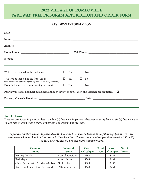## **2022 VILLAGE OF ROMEOVILLE PARKWAY TREE PROGRAM APPLICATION AND ORDER FORM**

#### **RESIDENT INFORMATION**

| Will tree be located in the parkway?                                                                           | $\mathbf{L}$ | Yes | ⊔      | N <sub>0</sub> |  |  |  |
|----------------------------------------------------------------------------------------------------------------|--------------|-----|--------|----------------|--|--|--|
| Will tree be located in the front yard?<br>(This will only be approved if parkway does not meet requirements.) | П            | Yes | $\Box$ | N <sub>o</sub> |  |  |  |
| Does Parkway tree request meet guidelines?                                                                     | $\mathbf{L}$ | Yes | ⊔      | N <sub>0</sub> |  |  |  |
| Parkway tree does not meet guidelines, although review of application and variance are requested. $\Box$       |              |     |        |                |  |  |  |
|                                                                                                                |              |     |        |                |  |  |  |
|                                                                                                                |              |     |        |                |  |  |  |

#### **Tree Options**

Trees are prohibited in parkways less than four (4) feet wide. In parkways between four (4) feet and six (6) feet wide, the Village may prohibit trees if they conflict with underground utility lines.

#### *In parkways between four (4) feet and six (6) feet wide trees shall be limited to the following species. Trees are recommended to be placed in front yards in these locations. Choose species and caliper of tree trunk (2.5" or 3"). The costs below reflect the \$75 cost share with the village.*

| <b>Common</b><br><b>Name</b>                     | <b>Botanical</b><br><b>Name</b> | Cost:<br>2.5" caliper | No. of<br><b>Trees</b> | Cost:<br>3" caliper | No. of<br><b>Trees</b> |
|--------------------------------------------------|---------------------------------|-----------------------|------------------------|---------------------|------------------------|
| Norway Maple                                     | Acer platanoides                | \$368                 |                        | \$431               |                        |
| Red Maple                                        | Acer rubrum                     | \$368                 |                        | \$431               |                        |
| Ginko (male) Aka. Maidenhair Tree   Ginko biloba |                                 | \$604                 |                        | \$656               |                        |
| American Linden Aka. Basswood                    | Tilia americana                 | \$368                 |                        | \$431               |                        |